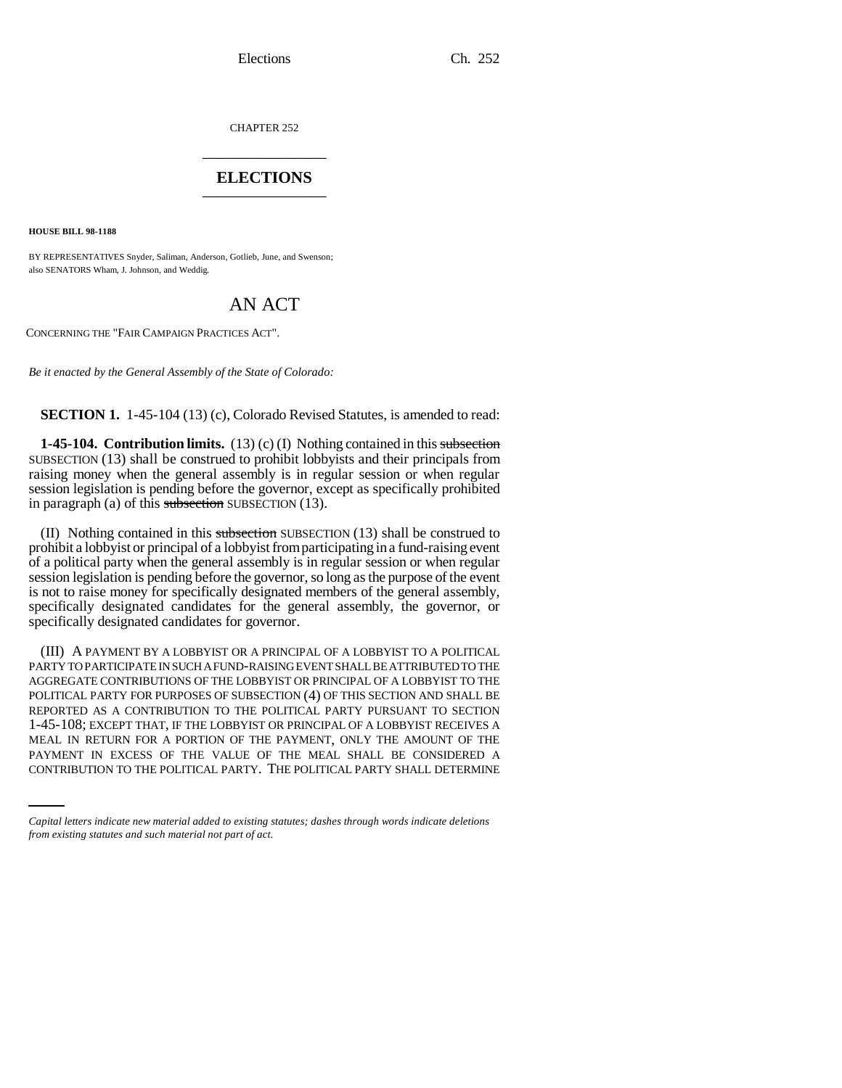CHAPTER 252 \_\_\_\_\_\_\_\_\_\_\_\_\_\_\_

# **ELECTIONS** \_\_\_\_\_\_\_\_\_\_\_\_\_\_\_

**HOUSE BILL 98-1188**

BY REPRESENTATIVES Snyder, Saliman, Anderson, Gotlieb, June, and Swenson; also SENATORS Wham, J. Johnson, and Weddig.

# AN ACT

CONCERNING THE "FAIR CAMPAIGN PRACTICES ACT".

*Be it enacted by the General Assembly of the State of Colorado:*

**SECTION 1.** 1-45-104 (13) (c), Colorado Revised Statutes, is amended to read:

**1-45-104. Contribution limits.** (13) (c) (I) Nothing contained in this subsection SUBSECTION (13) shall be construed to prohibit lobbyists and their principals from raising money when the general assembly is in regular session or when regular session legislation is pending before the governor, except as specifically prohibited in paragraph (a) of this subsection SUBSECTION  $(13)$ .

(II) Nothing contained in this subsection SUBSECTION (13) shall be construed to prohibit a lobbyist or principal of a lobbyist from participating in a fund-raising event of a political party when the general assembly is in regular session or when regular session legislation is pending before the governor, so long as the purpose of the event is not to raise money for specifically designated members of the general assembly, specifically designated candidates for the general assembly, the governor, or specifically designated candidates for governor.

MEAL IN RETURN FOR A PORTION OF THE PAYMENT, ONLY THE AMOUNT OF THE (III) A PAYMENT BY A LOBBYIST OR A PRINCIPAL OF A LOBBYIST TO A POLITICAL PARTY TO PARTICIPATE IN SUCH A FUND-RAISING EVENT SHALL BE ATTRIBUTED TO THE AGGREGATE CONTRIBUTIONS OF THE LOBBYIST OR PRINCIPAL OF A LOBBYIST TO THE POLITICAL PARTY FOR PURPOSES OF SUBSECTION (4) OF THIS SECTION AND SHALL BE REPORTED AS A CONTRIBUTION TO THE POLITICAL PARTY PURSUANT TO SECTION 1-45-108; EXCEPT THAT, IF THE LOBBYIST OR PRINCIPAL OF A LOBBYIST RECEIVES A PAYMENT IN EXCESS OF THE VALUE OF THE MEAL SHALL BE CONSIDERED A CONTRIBUTION TO THE POLITICAL PARTY. THE POLITICAL PARTY SHALL DETERMINE

*Capital letters indicate new material added to existing statutes; dashes through words indicate deletions from existing statutes and such material not part of act.*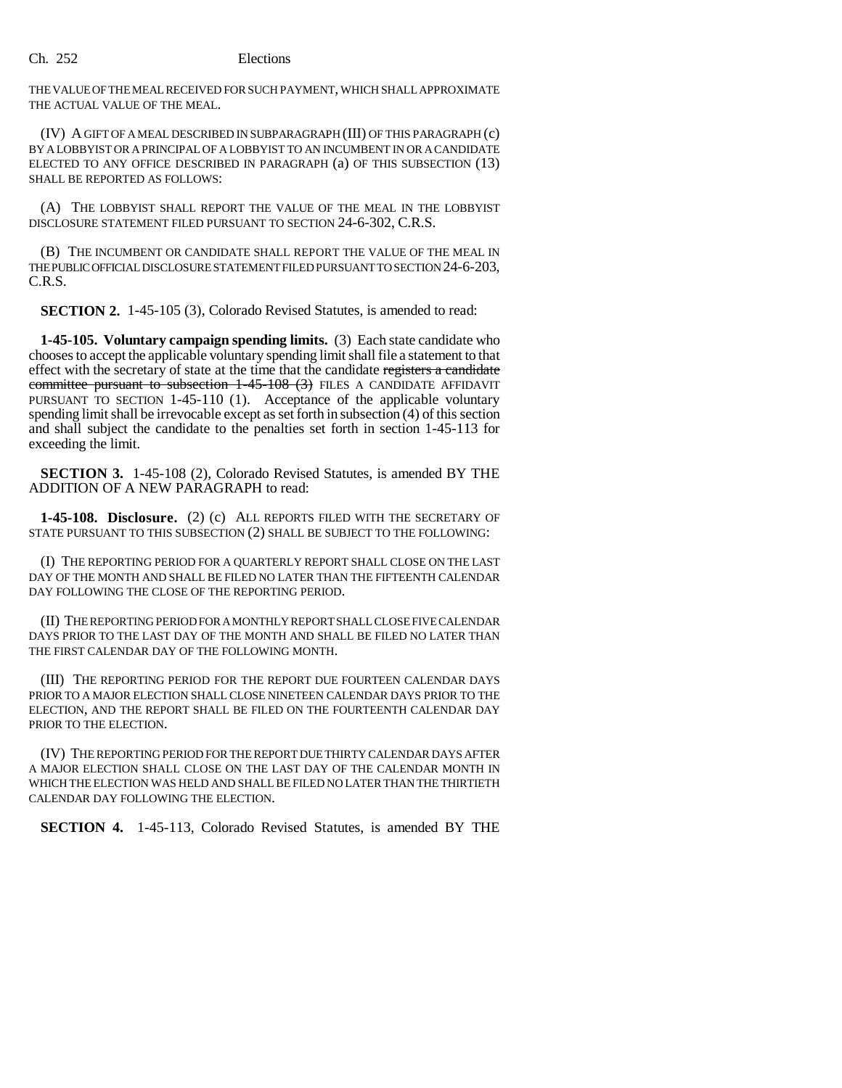### Ch. 252 Elections

THE VALUE OF THE MEAL RECEIVED FOR SUCH PAYMENT, WHICH SHALL APPROXIMATE THE ACTUAL VALUE OF THE MEAL.

(IV) A GIFT OF A MEAL DESCRIBED IN SUBPARAGRAPH (III) OF THIS PARAGRAPH (c) BY A LOBBYIST OR A PRINCIPAL OF A LOBBYIST TO AN INCUMBENT IN OR A CANDIDATE ELECTED TO ANY OFFICE DESCRIBED IN PARAGRAPH (a) OF THIS SUBSECTION (13) SHALL BE REPORTED AS FOLLOWS:

(A) THE LOBBYIST SHALL REPORT THE VALUE OF THE MEAL IN THE LOBBYIST DISCLOSURE STATEMENT FILED PURSUANT TO SECTION 24-6-302, C.R.S.

(B) THE INCUMBENT OR CANDIDATE SHALL REPORT THE VALUE OF THE MEAL IN THE PUBLIC OFFICIAL DISCLOSURE STATEMENT FILED PURSUANT TO SECTION 24-6-203, C.R.S.

**SECTION 2.** 1-45-105 (3), Colorado Revised Statutes, is amended to read:

**1-45-105. Voluntary campaign spending limits.** (3) Each state candidate who chooses to accept the applicable voluntary spending limit shall file a statement to that effect with the secretary of state at the time that the candidate registers a candidate committee pursuant to subsection  $1-45-108$  (3) FILES A CANDIDATE AFFIDAVIT PURSUANT TO SECTION 1-45-110 (1). Acceptance of the applicable voluntary spending limit shall be irrevocable except as set forth in subsection (4) of this section and shall subject the candidate to the penalties set forth in section 1-45-113 for exceeding the limit.

**SECTION 3.** 1-45-108 (2), Colorado Revised Statutes, is amended BY THE ADDITION OF A NEW PARAGRAPH to read:

**1-45-108. Disclosure.** (2) (c) ALL REPORTS FILED WITH THE SECRETARY OF STATE PURSUANT TO THIS SUBSECTION (2) SHALL BE SUBJECT TO THE FOLLOWING:

(I) THE REPORTING PERIOD FOR A QUARTERLY REPORT SHALL CLOSE ON THE LAST DAY OF THE MONTH AND SHALL BE FILED NO LATER THAN THE FIFTEENTH CALENDAR DAY FOLLOWING THE CLOSE OF THE REPORTING PERIOD.

(II) THE REPORTING PERIOD FOR A MONTHLY REPORT SHALL CLOSE FIVE CALENDAR DAYS PRIOR TO THE LAST DAY OF THE MONTH AND SHALL BE FILED NO LATER THAN THE FIRST CALENDAR DAY OF THE FOLLOWING MONTH.

(III) THE REPORTING PERIOD FOR THE REPORT DUE FOURTEEN CALENDAR DAYS PRIOR TO A MAJOR ELECTION SHALL CLOSE NINETEEN CALENDAR DAYS PRIOR TO THE ELECTION, AND THE REPORT SHALL BE FILED ON THE FOURTEENTH CALENDAR DAY PRIOR TO THE ELECTION.

(IV) THE REPORTING PERIOD FOR THE REPORT DUE THIRTY CALENDAR DAYS AFTER A MAJOR ELECTION SHALL CLOSE ON THE LAST DAY OF THE CALENDAR MONTH IN WHICH THE ELECTION WAS HELD AND SHALL BE FILED NO LATER THAN THE THIRTIETH CALENDAR DAY FOLLOWING THE ELECTION.

**SECTION 4.** 1-45-113, Colorado Revised Statutes, is amended BY THE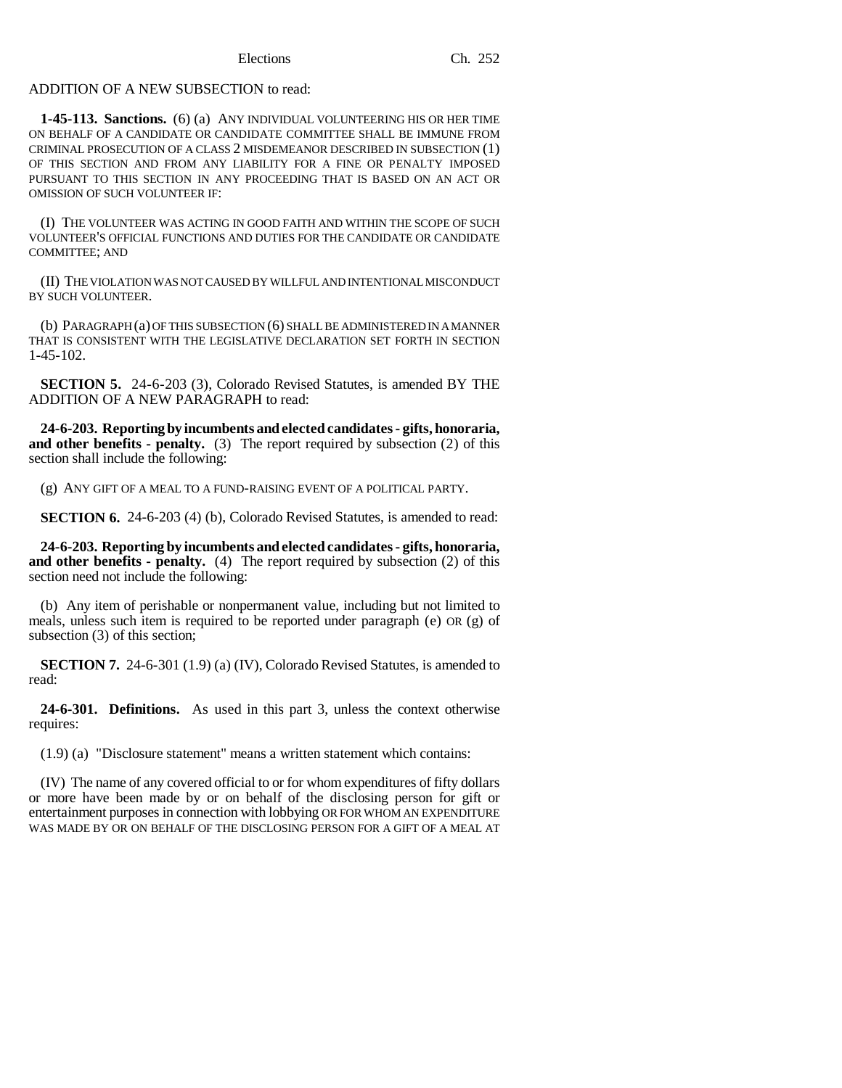# ADDITION OF A NEW SUBSECTION to read:

**1-45-113. Sanctions.** (6) (a) ANY INDIVIDUAL VOLUNTEERING HIS OR HER TIME ON BEHALF OF A CANDIDATE OR CANDIDATE COMMITTEE SHALL BE IMMUNE FROM CRIMINAL PROSECUTION OF A CLASS 2 MISDEMEANOR DESCRIBED IN SUBSECTION (1) OF THIS SECTION AND FROM ANY LIABILITY FOR A FINE OR PENALTY IMPOSED PURSUANT TO THIS SECTION IN ANY PROCEEDING THAT IS BASED ON AN ACT OR OMISSION OF SUCH VOLUNTEER IF:

(I) THE VOLUNTEER WAS ACTING IN GOOD FAITH AND WITHIN THE SCOPE OF SUCH VOLUNTEER'S OFFICIAL FUNCTIONS AND DUTIES FOR THE CANDIDATE OR CANDIDATE COMMITTEE; AND

(II) THE VIOLATION WAS NOT CAUSED BY WILLFUL AND INTENTIONAL MISCONDUCT BY SUCH VOLUNTEER.

(b) PARAGRAPH (a) OF THIS SUBSECTION (6) SHALL BE ADMINISTERED IN A MANNER THAT IS CONSISTENT WITH THE LEGISLATIVE DECLARATION SET FORTH IN SECTION 1-45-102.

**SECTION 5.** 24-6-203 (3), Colorado Revised Statutes, is amended BY THE ADDITION OF A NEW PARAGRAPH to read:

**24-6-203. Reporting by incumbents and elected candidates - gifts, honoraria, and other benefits - penalty.** (3) The report required by subsection (2) of this section shall include the following:

(g) ANY GIFT OF A MEAL TO A FUND-RAISING EVENT OF A POLITICAL PARTY.

**SECTION 6.** 24-6-203 (4) (b), Colorado Revised Statutes, is amended to read:

**24-6-203. Reporting by incumbents and elected candidates - gifts, honoraria, and other benefits - penalty.** (4) The report required by subsection (2) of this section need not include the following:

(b) Any item of perishable or nonpermanent value, including but not limited to meals, unless such item is required to be reported under paragraph (e) OR (g) of subsection (3) of this section;

**SECTION 7.** 24-6-301 (1.9) (a) (IV), Colorado Revised Statutes, is amended to read:

**24-6-301. Definitions.** As used in this part 3, unless the context otherwise requires:

(1.9) (a) "Disclosure statement" means a written statement which contains:

(IV) The name of any covered official to or for whom expenditures of fifty dollars or more have been made by or on behalf of the disclosing person for gift or entertainment purposes in connection with lobbying OR FOR WHOM AN EXPENDITURE WAS MADE BY OR ON BEHALF OF THE DISCLOSING PERSON FOR A GIFT OF A MEAL AT